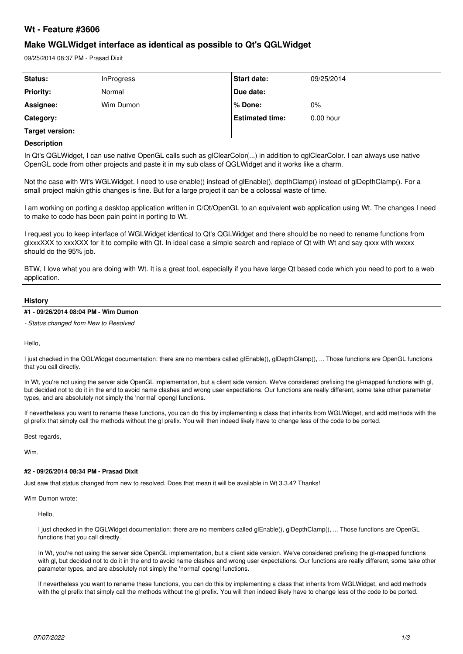# **Wt - Feature #3606**

# **Make WGLWidget interface as identical as possible to Qt's QGLWidget**

09/25/2014 08:37 PM - Prasad Dixit

| Status:          | <b>InProgress</b> | <b>Start date:</b>     | 09/25/2014  |
|------------------|-------------------|------------------------|-------------|
| <b>Priority:</b> | Normal            | Due date:              |             |
| Assignee:        | Wim Dumon         | l % Done:              | $0\%$       |
| Category:        |                   | <b>Estimated time:</b> | $0.00$ hour |
| Target version:  |                   |                        |             |

# **Description**

In Qt's QGLWidget, I can use native OpenGL calls such as glClearColor(...) in addition to qglClearColor. I can always use native OpenGL code from other projects and paste it in my sub class of QGLWidget and it works like a charm.

Not the case with Wt's WGLWidget. I need to use enable() instead of glEnable(), depthClamp() instead of glDepthClamp(). For a small project makin gthis changes is fine. But for a large project it can be a colossal waste of time.

I am working on porting a desktop application written in C/Qt/OpenGL to an equivalent web application using Wt. The changes I need to make to code has been pain point in porting to Wt.

I request you to keep interface of WGLWidget identical to Qt's QGLWidget and there should be no need to rename functions from glxxxXXX to xxxXXX for it to compile with Qt. In ideal case a simple search and replace of Qt with Wt and say qxxx with wxxxx should do the 95% job.

BTW, I love what you are doing with Wt. It is a great tool, especially if you have large Qt based code which you need to port to a web application.

## **History**

## **#1 - 09/26/2014 08:04 PM - Wim Dumon**

*- Status changed from New to Resolved*

Hello,

I just checked in the QGLWidget documentation: there are no members called glEnable(), glDepthClamp(), ... Those functions are OpenGL functions that you call directly.

In Wt, you're not using the server side OpenGL implementation, but a client side version. We've considered prefixing the gl-mapped functions with gl, but decided not to do it in the end to avoid name clashes and wrong user expectations. Our functions are really different, some take other parameter types, and are absolutely not simply the 'normal' opengl functions.

If nevertheless you want to rename these functions, you can do this by implementing a class that inherits from WGLWidget, and add methods with the gl prefix that simply call the methods without the gl prefix. You will then indeed likely have to change less of the code to be ported.

Best regards,

Wim.

# **#2 - 09/26/2014 08:34 PM - Prasad Dixit**

Just saw that status changed from new to resolved. Does that mean it will be available in Wt 3.3.4? Thanks!

Wim Dumon wrote:

Hello,

I just checked in the QGLWidget documentation: there are no members called glEnable(), glDepthClamp(), ... Those functions are OpenGL functions that you call directly.

In Wt, you're not using the server side OpenGL implementation, but a client side version. We've considered prefixing the gl-mapped functions with gl, but decided not to do it in the end to avoid name clashes and wrong user expectations. Our functions are really different, some take other parameter types, and are absolutely not simply the 'normal' opengl functions.

If nevertheless you want to rename these functions, you can do this by implementing a class that inherits from WGLWidget, and add methods with the gl prefix that simply call the methods without the gl prefix. You will then indeed likely have to change less of the code to be ported.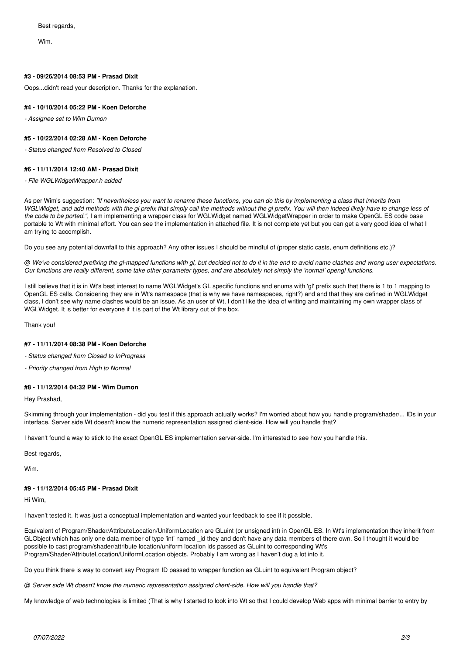Wim.

#### **#3 - 09/26/2014 08:53 PM - Prasad Dixit**

Oops...didn't read your description. Thanks for the explanation.

### **#4 - 10/10/2014 05:22 PM - Koen Deforche**

*- Assignee set to Wim Dumon*

### **#5 - 10/22/2014 02:28 AM - Koen Deforche**

*- Status changed from Resolved to Closed*

#### **#6 - 11/11/2014 12:40 AM - Prasad Dixit**

*- File WGLWidgetWrapper.h added*

As per Wim's suggestion: *"If nevertheless you want to rename these functions, you can do this by implementing a class that inherits from WGLWidget, and add methods with the gl prefix that simply call the methods without the gl prefix. You will then indeed likely have to change less of the code to be ported."*, I am implementing a wrapper class for WGLWidget named WGLWidgetWrapper in order to make OpenGL ES code base portable to Wt with minimal effort. You can see the implementation in attached file. It is not complete yet but you can get a very good idea of what I am trying to accomplish.

Do you see any potential downfall to this approach? Any other issues I should be mindful of (proper static casts, enum definitions etc.)?

@ *We've considered prefixing the gl-mapped functions with gl, but decided not to do it in the end to avoid name clashes and wrong user expectations. Our functions are really different, some take other parameter types, and are absolutely not simply the 'normal' opengl functions.*

I still believe that it is in Wt's best interest to name WGLWidget's GL specific functions and enums with 'gl' prefix such that there is 1 to 1 mapping to OpenGL ES calls. Considering they are in Wt's namespace (that is why we have namespaces, right?) and and that they are defined in WGLWidget class, I don't see why name clashes would be an issue. As an user of Wt, I don't like the idea of writing and maintaining my own wrapper class of WGLWidget. It is better for everyone if it is part of the Wt library out of the box.

Thank you!

#### **#7 - 11/11/2014 08:38 PM - Koen Deforche**

*- Status changed from Closed to InProgress*

*- Priority changed from High to Normal*

#### **#8 - 11/12/2014 04:32 PM - Wim Dumon**

Hey Prashad,

Skimming through your implementation - did you test if this approach actually works? I'm worried about how you handle program/shader/... IDs in your interface. Server side Wt doesn't know the numeric representation assigned client-side. How will you handle that?

I haven't found a way to stick to the exact OpenGL ES implementation server-side. I'm interested to see how you handle this.

Best regards,

Wim.

### **#9 - 11/12/2014 05:45 PM - Prasad Dixit**

Hi Wim,

I haven't tested it. It was just a conceptual implementation and wanted your feedback to see if it possible.

Equivalent of Program/Shader/AttributeLocation/UniformLocation are GLuint (or unsigned int) in OpenGL ES. In Wt's implementation they inherit from GLObject which has only one data member of type 'int' named id they and don't have any data members of there own. So I thought it would be possible to cast program/shader/attribute location/uniform location ids passed as GLuint to corresponding Wt's Program/Shader/AttributeLocation/UniformLocation objects. Probably I am wrong as I haven't dug a lot into it.

Do you think there is way to convert say Program ID passed to wrapper function as GLuint to equivalent Program object?

@ *Server side Wt doesn't know the numeric representation assigned client-side. How will you handle that?*

My knowledge of web technologies is limited (That is why I started to look into Wt so that I could develop Web apps with minimal barrier to entry by